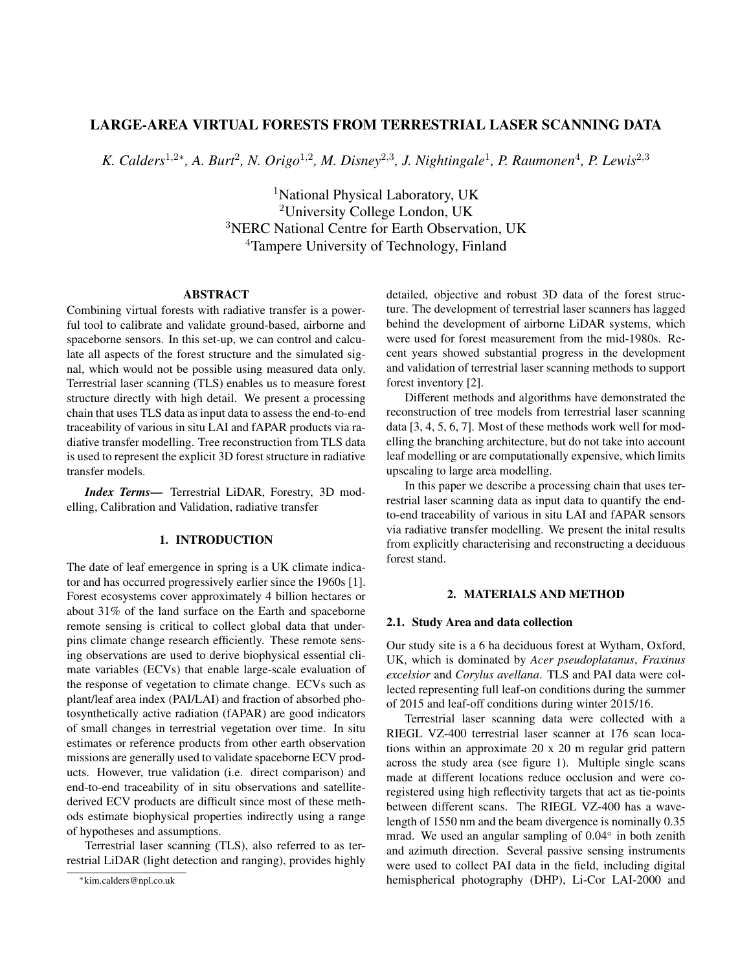# LARGE-AREA VIRTUAL FORESTS FROM TERRESTRIAL LASER SCANNING DATA

*K. Calders*<sup>1,2∗</sup>, *A. Burt<sup>2</sup>, <i>N. Origo*<sup>1,2</sup>, *M. Disney*<sup>2,3</sup>, *J. Nightingale*<sup>1</sup>, *P. Raumonen*<sup>4</sup>, *P. Lewis*<sup>2,3</sup>

<sup>1</sup>National Physical Laboratory, UK University College London, UK NERC National Centre for Earth Observation, UK Tampere University of Technology, Finland

#### ABSTRACT

Combining virtual forests with radiative transfer is a powerful tool to calibrate and validate ground-based, airborne and spaceborne sensors. In this set-up, we can control and calculate all aspects of the forest structure and the simulated signal, which would not be possible using measured data only. Terrestrial laser scanning (TLS) enables us to measure forest structure directly with high detail. We present a processing chain that uses TLS data as input data to assess the end-to-end traceability of various in situ LAI and fAPAR products via radiative transfer modelling. Tree reconstruction from TLS data is used to represent the explicit 3D forest structure in radiative transfer models.

*Index Terms*— Terrestrial LiDAR, Forestry, 3D modelling, Calibration and Validation, radiative transfer

## 1. INTRODUCTION

The date of leaf emergence in spring is a UK climate indicator and has occurred progressively earlier since the 1960s [1]. Forest ecosystems cover approximately 4 billion hectares or about 31% of the land surface on the Earth and spaceborne remote sensing is critical to collect global data that underpins climate change research efficiently. These remote sensing observations are used to derive biophysical essential climate variables (ECVs) that enable large-scale evaluation of the response of vegetation to climate change. ECVs such as plant/leaf area index (PAI/LAI) and fraction of absorbed photosynthetically active radiation (fAPAR) are good indicators of small changes in terrestrial vegetation over time. In situ estimates or reference products from other earth observation missions are generally used to validate spaceborne ECV products. However, true validation (i.e. direct comparison) and end-to-end traceability of in situ observations and satellitederived ECV products are difficult since most of these methods estimate biophysical properties indirectly using a range of hypotheses and assumptions.

Terrestrial laser scanning (TLS), also referred to as terrestrial LiDAR (light detection and ranging), provides highly detailed, objective and robust 3D data of the forest structure. The development of terrestrial laser scanners has lagged behind the development of airborne LiDAR systems, which were used for forest measurement from the mid-1980s. Recent years showed substantial progress in the development and validation of terrestrial laser scanning methods to support forest inventory [2].

Different methods and algorithms have demonstrated the reconstruction of tree models from terrestrial laser scanning data [3, 4, 5, 6, 7]. Most of these methods work well for modelling the branching architecture, but do not take into account leaf modelling or are computationally expensive, which limits upscaling to large area modelling.

In this paper we describe a processing chain that uses terrestrial laser scanning data as input data to quantify the endto-end traceability of various in situ LAI and fAPAR sensors via radiative transfer modelling. We present the inital results from explicitly characterising and reconstructing a deciduous forest stand.

#### 2. MATERIALS AND METHOD

#### 2.1. Study Area and data collection

Our study site is a 6 ha deciduous forest at Wytham, Oxford, UK, which is dominated by *Acer pseudoplatanus*, *Fraxinus excelsior* and *Corylus avellana*. TLS and PAI data were collected representing full leaf-on conditions during the summer of 2015 and leaf-off conditions during winter 2015/16.

Terrestrial laser scanning data were collected with a RIEGL VZ-400 terrestrial laser scanner at 176 scan locations within an approximate 20 x 20 m regular grid pattern across the study area (see figure 1). Multiple single scans made at different locations reduce occlusion and were coregistered using high reflectivity targets that act as tie-points between different scans. The RIEGL VZ-400 has a wavelength of 1550 nm and the beam divergence is nominally 0.35 mrad. We used an angular sampling of 0.04<sup>°</sup> in both zenith and azimuth direction. Several passive sensing instruments were used to collect PAI data in the field, including digital hemispherical photography (DHP), Li-Cor LAI-2000 and

<sup>∗</sup>kim.calders@npl.co.uk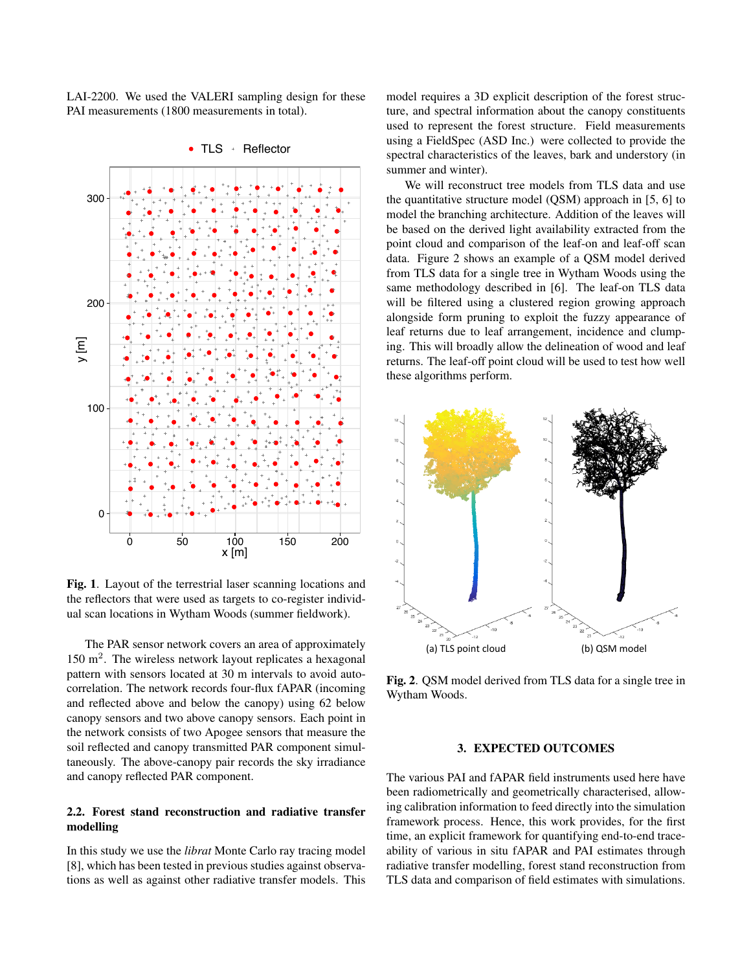LAI-2200. We used the VALERI sampling design for these PAI measurements (1800 measurements in total).



Fig. 1. Layout of the terrestrial laser scanning locations and the reflectors that were used as targets to co-register individual scan locations in Wytham Woods (summer fieldwork).

The PAR sensor network covers an area of approximately 150 m<sup>2</sup>. The wireless network layout replicates a hexagonal pattern with sensors located at 30 m intervals to avoid autocorrelation. The network records four-flux fAPAR (incoming and reflected above and below the canopy) using 62 below canopy sensors and two above canopy sensors. Each point in the network consists of two Apogee sensors that measure the soil reflected and canopy transmitted PAR component simultaneously. The above-canopy pair records the sky irradiance and canopy reflected PAR component.

### 2.2. Forest stand reconstruction and radiative transfer modelling

In this study we use the *librat* Monte Carlo ray tracing model [8], which has been tested in previous studies against observations as well as against other radiative transfer models. This model requires a 3D explicit description of the forest structure, and spectral information about the canopy constituents used to represent the forest structure. Field measurements using a FieldSpec (ASD Inc.) were collected to provide the spectral characteristics of the leaves, bark and understory (in summer and winter).

We will reconstruct tree models from TLS data and use the quantitative structure model (QSM) approach in [5, 6] to model the branching architecture. Addition of the leaves will be based on the derived light availability extracted from the point cloud and comparison of the leaf-on and leaf-off scan data. Figure 2 shows an example of a QSM model derived from TLS data for a single tree in Wytham Woods using the same methodology described in [6]. The leaf-on TLS data will be filtered using a clustered region growing approach alongside form pruning to exploit the fuzzy appearance of leaf returns due to leaf arrangement, incidence and clumping. This will broadly allow the delineation of wood and leaf returns. The leaf-off point cloud will be used to test how well these algorithms perform.



Fig. 2. QSM model derived from TLS data for a single tree in Wytham Woods.

## 3. EXPECTED OUTCOMES

The various PAI and fAPAR field instruments used here have been radiometrically and geometrically characterised, allowing calibration information to feed directly into the simulation framework process. Hence, this work provides, for the first time, an explicit framework for quantifying end-to-end traceability of various in situ fAPAR and PAI estimates through radiative transfer modelling, forest stand reconstruction from TLS data and comparison of field estimates with simulations.